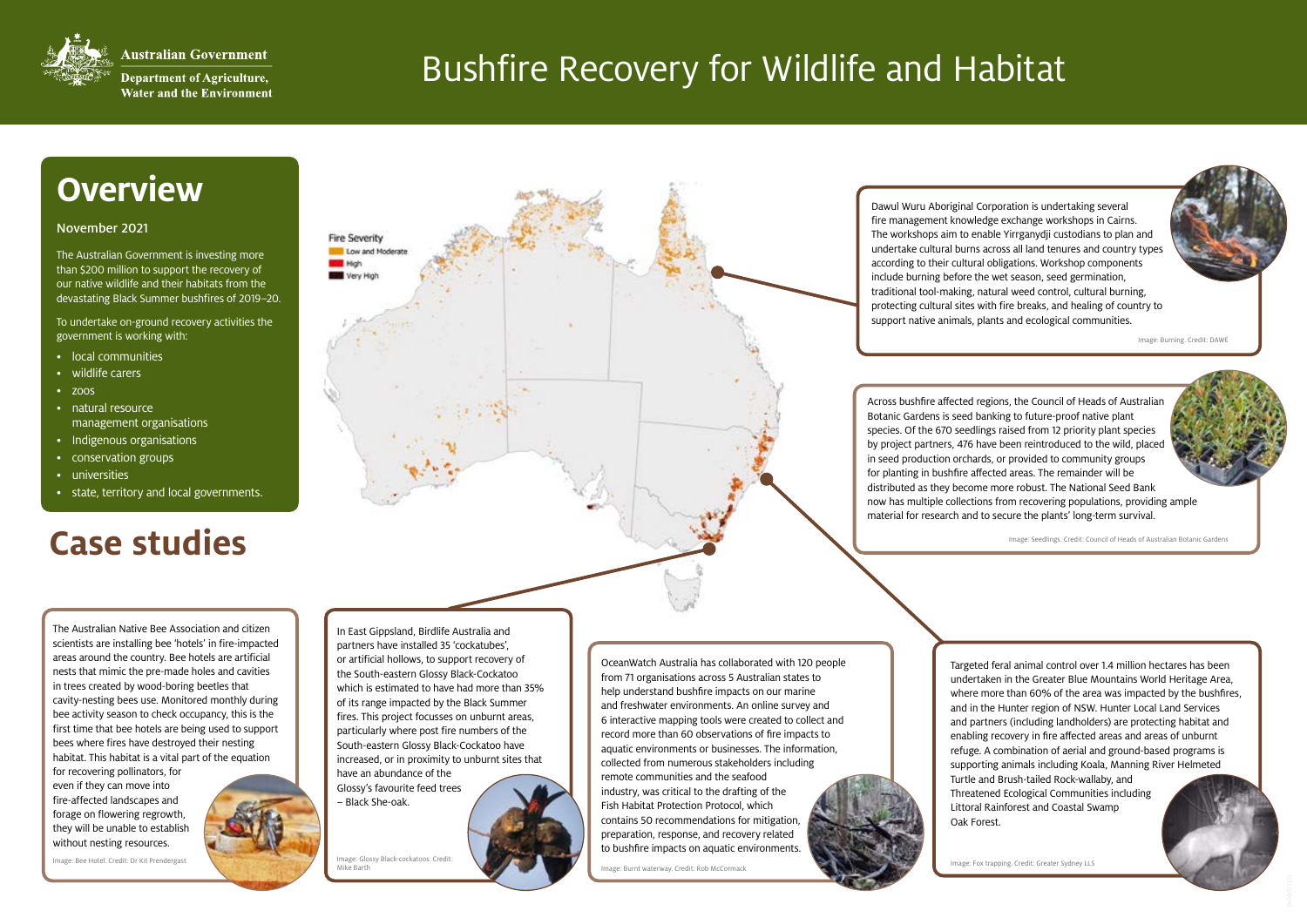

**Australian Government** 

**Department of Agriculture, Water and the Environment** 

> OceanWatch Australia has collaborated with 120 people from 71 organisations across 5 Australian states to help understand bushfire impacts on our marine and freshwater environments. An online survey and 6 interactive mapping tools were created to collect and record more than 60 observations of fire impacts to aquatic environments or businesses. The information, collected from numerous stakeholders including remote communities and the seafood industry, was critical to the drafting of the Fish Habitat Protection Protocol, which contains 50 recommendations for mitigation, preparation, response, and recovery related to bushfire impacts on aquatic environments.

Image: Burnt waterway. Credit: Rob McCormack and Corporation Corporation Corporation Corporation Credit: Greater Sydney LLS

## Bushfire Recovery for Wildlife and Habitat

## **Overview**

### November 2021

The Australian Government is investing more than \$200 million to support the recovery of our native wildlife and their habitats from the devastating Black Summer bushfires of 2019–20.

To undertake on-ground recovery activities the government is working with:

- local communities
- wildlife carers
- $\bullet$  zoos
- natural resource management organisations
- Indigenous organisations
- conservation groups
- universities
- state, territory and local governments.

## **Case** stredit: Council of Heads of Australian Botanic Gardens

In East Gippsland, Birdlife Australia and partners have installed 35 'cockatubes', or artificial hollows, to support recovery of the South-eastern Glossy Black-Cockatoo which is estimated to have had more than 35% of its range impacted by the Black Summer fires. This project focusses on unburnt areas, particularly where post fire numbers of the South-eastern Glossy Black-Cockatoo have increased, or in proximity to unburnt sites that have an abundance of the Glossy's favourite feed trees – Black She-oak.

The Australian Native Bee Association and citizen scientists are installing bee 'hotels' in fire-impacted areas around the country. Bee hotels are artificial nests that mimic the pre-made holes and cavities in trees created by wood-boring beetles that cavity-nesting bees use. Monitored monthly during bee activity season to check occupancy, this is the first time that bee hotels are being used to support bees where fires have destroyed their nesting habitat. This habitat is a vital part of the equation

for recovering pollinators, for even if they can move into fire-affected landscapes and forage on flowering regrowth, they will be unable to establish without nesting resources.

Dawul Wuru Aboriginal Corporation is undertaking several fire management knowledge exchange workshops in Cairns. The workshops aim to enable Yirrganydji custodians to plan and undertake cultural burns across all land tenures and country types according to their cultural obligations. Workshop components include burning before the wet season, seed germination, traditional tool-making, natural weed control, cultural burning, protecting cultural sites with fire breaks, and healing of country to support native animals, plants and ecological communities.

Image: Burning. Credit: DAWE

Image: Glossy Black-cockatoos. Credit: Mike Barth

Fire Severity Low and Moderat

**MET** High Wery Hi

> Across bushfire affected regions, the Council of Heads of Australian Botanic Gardens is seed banking to future-proof native plant species. Of the 670 seedlings raised from 12 priority plant species by project partners, 476 have been reintroduced to the wild, placed in seed production orchards, or provided to community groups for planting in bushfire affected areas. The remainder will be distributed as they become more robust. The National Seed Bank now has multiple collections from recovering populations, providing ample material for research and to secure the plants' long-term survival.

Image: Bee Hotel. Credit: Dr Kit Prendergast



Targeted feral animal control over 1.4 million hectares has been undertaken in the Greater Blue Mountains World Heritage Area, where more than 60% of the area was impacted by the bushfires, and in the Hunter region of NSW. Hunter Local Land Services and partners (including landholders) are protecting habitat and enabling recovery in fire affected areas and areas of unburnt refuge. A combination of aerial and ground-based programs is supporting animals including Koala, Manning River Helmeted Turtle and Brush-tailed Rock-wallaby, and

Threatened Ecological Communities including Littoral Rainforest and Coastal Swamp

Oak Forest.